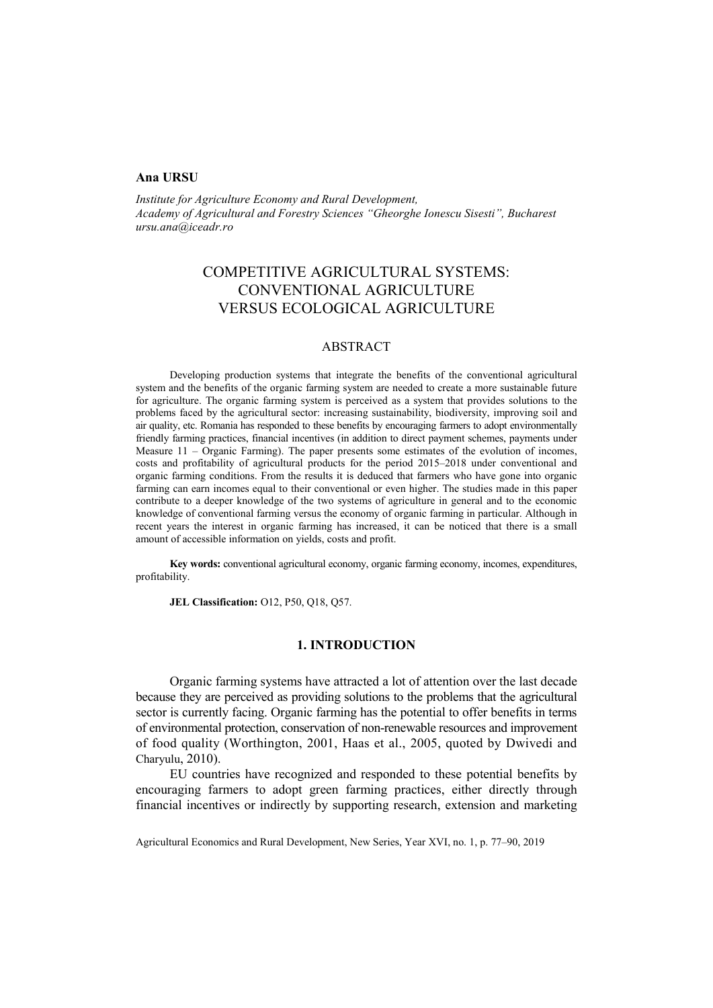## **Ana URSU**

*Institute for Agriculture Economy and Rural Development, Academy of Agricultural and Forestry Sciences "Gheorghe Ionescu Sisesti", Bucharest ursu.ana@iceadr.ro* 

# COMPETITIVE AGRICULTURAL SYSTEMS: CONVENTIONAL AGRICULTURE VERSUS ECOLOGICAL AGRICULTURE

## ABSTRACT

Developing production systems that integrate the benefits of the conventional agricultural system and the benefits of the organic farming system are needed to create a more sustainable future for agriculture. The organic farming system is perceived as a system that provides solutions to the problems faced by the agricultural sector: increasing sustainability, biodiversity, improving soil and air quality, etc. Romania has responded to these benefits by encouraging farmers to adopt environmentally friendly farming practices, financial incentives (in addition to direct payment schemes, payments under Measure 11 – Organic Farming). The paper presents some estimates of the evolution of incomes, costs and profitability of agricultural products for the period 2015–2018 under conventional and organic farming conditions. From the results it is deduced that farmers who have gone into organic farming can earn incomes equal to their conventional or even higher. The studies made in this paper contribute to a deeper knowledge of the two systems of agriculture in general and to the economic knowledge of conventional farming versus the economy of organic farming in particular. Although in recent years the interest in organic farming has increased, it can be noticed that there is a small amount of accessible information on yields, costs and profit.

**Key words:** conventional agricultural economy, organic farming economy, incomes, expenditures, profitability.

**JEL Classification:** O12, P50, Q18, Q57.

## **1. INTRODUCTION**

Organic farming systems have attracted a lot of attention over the last decade because they are perceived as providing solutions to the problems that the agricultural sector is currently facing. Organic farming has the potential to offer benefits in terms of environmental protection, conservation of non-renewable resources and improvement of food quality (Worthington, 2001, Haas et al., 2005, quoted by Dwivedi and Charyulu, 2010).

EU countries have recognized and responded to these potential benefits by encouraging farmers to adopt green farming practices, either directly through financial incentives or indirectly by supporting research, extension and marketing

Agricultural Economics and Rural Development, New Series, Year XVI, no. 1, p. 77–90, 2019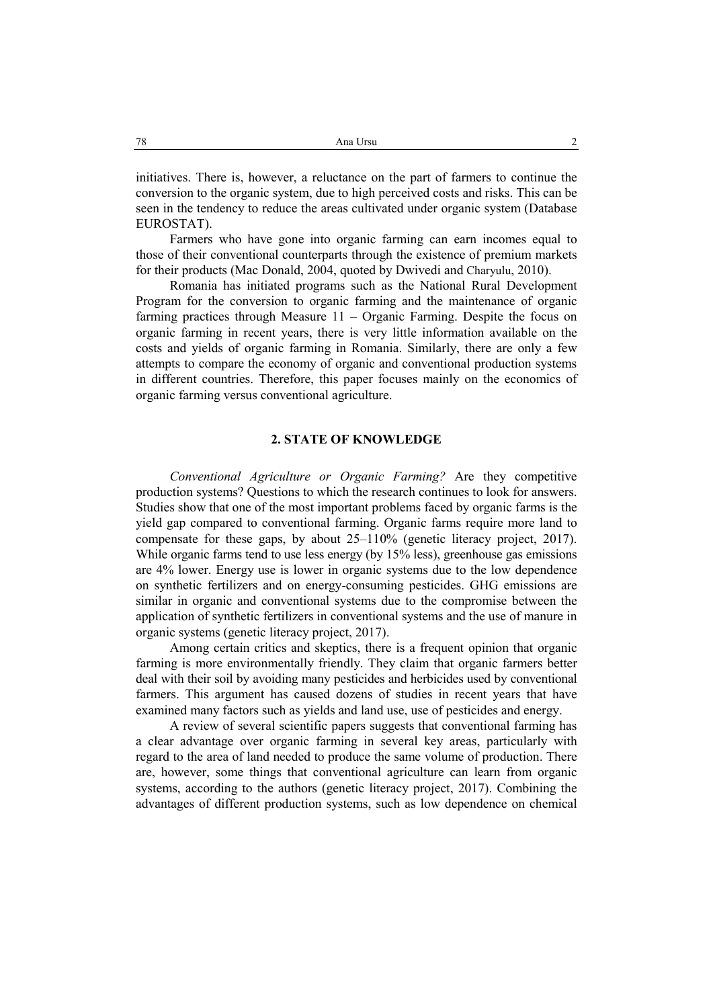initiatives. There is, however, a reluctance on the part of farmers to continue the conversion to the organic system, due to high perceived costs and risks. This can be seen in the tendency to reduce the areas cultivated under organic system (Database EUROSTAT).

Farmers who have gone into organic farming can earn incomes equal to those of their conventional counterparts through the existence of premium markets for their products (Mac Donald, 2004, quoted by Dwivedi and Charyulu, 2010).

Romania has initiated programs such as the National Rural Development Program for the conversion to organic farming and the maintenance of organic farming practices through Measure 11 – Organic Farming. Despite the focus on organic farming in recent years, there is very little information available on the costs and yields of organic farming in Romania. Similarly, there are only a few attempts to compare the economy of organic and conventional production systems in different countries. Therefore, this paper focuses mainly on the economics of organic farming versus conventional agriculture.

## **2. STATE OF KNOWLEDGE**

*Conventional Agriculture or Organic Farming?* Are they competitive production systems? Questions to which the research continues to look for answers. Studies show that one of the most important problems faced by organic farms is the yield gap compared to conventional farming. Organic farms require more land to compensate for these gaps, by about 25–110% (genetic literacy project, 2017). While organic farms tend to use less energy (by 15% less), greenhouse gas emissions are 4% lower. Energy use is lower in organic systems due to the low dependence on synthetic fertilizers and on energy-consuming pesticides. GHG emissions are similar in organic and conventional systems due to the compromise between the application of synthetic fertilizers in conventional systems and the use of manure in organic systems (genetic literacy project, 2017).

Among certain critics and skeptics, there is a frequent opinion that organic farming is more environmentally friendly. They claim that organic farmers better deal with their soil by avoiding many pesticides and herbicides used by conventional farmers. This argument has caused dozens of studies in recent years that have examined many factors such as yields and land use, use of pesticides and energy.

A review of several scientific papers suggests that conventional farming has a clear advantage over organic farming in several key areas, particularly with regard to the area of land needed to produce the same volume of production. There are, however, some things that conventional agriculture can learn from organic systems, according to the authors (genetic literacy project, 2017). Combining the advantages of different production systems, such as low dependence on chemical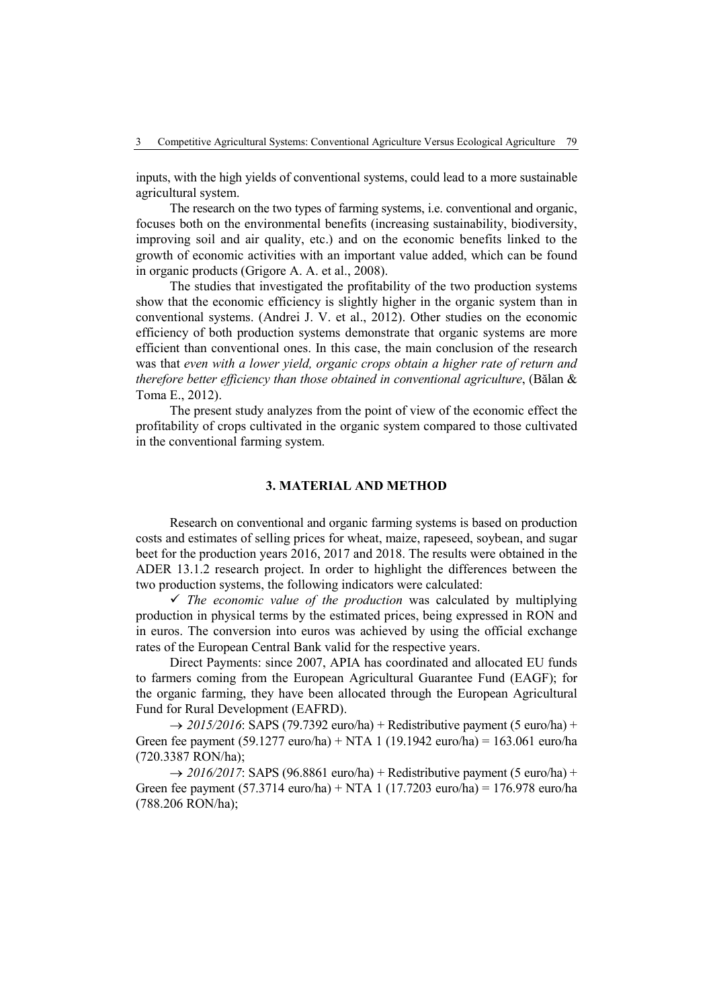inputs, with the high yields of conventional systems, could lead to a more sustainable agricultural system.

The research on the two types of farming systems, i.e. conventional and organic, focuses both on the environmental benefits (increasing sustainability, biodiversity, improving soil and air quality, etc.) and on the economic benefits linked to the growth of economic activities with an important value added, which can be found in organic products (Grigore A. A. et al., 2008).

The studies that investigated the profitability of the two production systems show that the economic efficiency is slightly higher in the organic system than in conventional systems. (Andrei J. V. et al., 2012). Other studies on the economic efficiency of both production systems demonstrate that organic systems are more efficient than conventional ones. In this case, the main conclusion of the research was that *even with a lower yield, organic crops obtain a higher rate of return and therefore better efficiency than those obtained in conventional agriculture*, (Bălan & Toma E., 2012).

The present study analyzes from the point of view of the economic effect the profitability of crops cultivated in the organic system compared to those cultivated in the conventional farming system.

## **3. MATERIAL AND METHOD**

Research on conventional and organic farming systems is based on production costs and estimates of selling prices for wheat, maize, rapeseed, soybean, and sugar beet for the production years 2016, 2017 and 2018. The results were obtained in the ADER 13.1.2 research project. In order to highlight the differences between the two production systems, the following indicators were calculated:

 $\checkmark$  *The economic value of the production* was calculated by multiplying production in physical terms by the estimated prices, being expressed in RON and in euros. The conversion into euros was achieved by using the official exchange rates of the European Central Bank valid for the respective years.

Direct Payments: since 2007, APIA has coordinated and allocated EU funds to farmers coming from the European Agricultural Guarantee Fund (EAGF); for the organic farming, they have been allocated through the European Agricultural Fund for Rural Development (EAFRD).

 $\rightarrow$  2015/2016: SAPS (79.7392 euro/ha) + Redistributive payment (5 euro/ha) + Green fee payment (59.1277 euro/ha) + NTA 1 (19.1942 euro/ha) = 163.061 euro/ha (720.3387 RON/ha);

 $\rightarrow$  2016/2017: SAPS (96.8861 euro/ha) + Redistributive payment (5 euro/ha) + Green fee payment (57.3714 euro/ha) + NTA 1 (17.7203 euro/ha) = 176.978 euro/ha (788.206 RON/ha);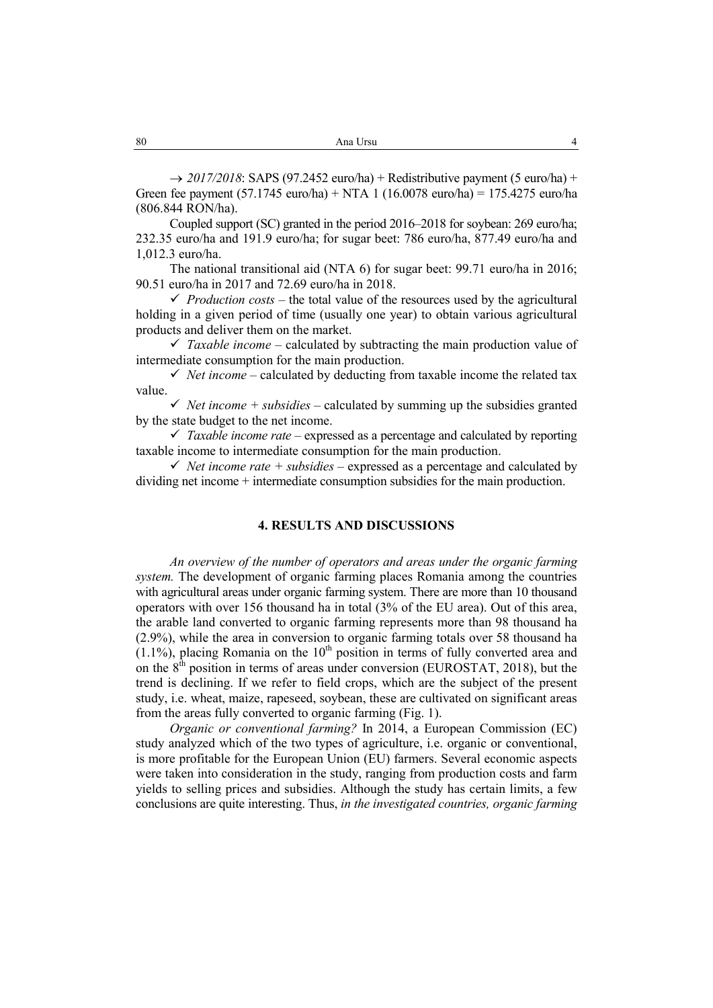$\rightarrow$  2017/2018: SAPS (97.2452 euro/ha) + Redistributive payment (5 euro/ha) + Green fee payment  $(57.1745 \text{ euro/ha}) + NTA$  1  $(16.0078 \text{ euro/ha}) = 175.4275 \text{ euro/ha}$ (806.844 RON/ha).

Coupled support (SC) granted in the period 2016–2018 for soybean: 269 euro/ha; 232.35 euro/ha and 191.9 euro/ha; for sugar beet: 786 euro/ha, 877.49 euro/ha and 1,012.3 euro/ha.

The national transitional aid (NTA 6) for sugar beet: 99.71 euro/ha in 2016; 90.51 euro/ha in 2017 and 72.69 euro/ha in 2018.

*Production costs* – the total value of the resources used by the agricultural holding in a given period of time (usually one year) to obtain various agricultural products and deliver them on the market.

 $\checkmark$  Taxable income – calculated by subtracting the main production value of intermediate consumption for the main production.

 $\checkmark$  *Net income* – calculated by deducting from taxable income the related tax value.

 $\checkmark$  *Net income + subsidies* – calculated by summing up the subsidies granted by the state budget to the net income.

 $\checkmark$  Taxable income rate – expressed as a percentage and calculated by reporting taxable income to intermediate consumption for the main production.

 $\checkmark$  *Net income rate + subsidies* – expressed as a percentage and calculated by dividing net income + intermediate consumption subsidies for the main production.

## **4. RESULTS AND DISCUSSIONS**

*An overview of the number of operators and areas under the organic farming system.* The development of organic farming places Romania among the countries with agricultural areas under organic farming system. There are more than 10 thousand operators with over 156 thousand ha in total (3% of the EU area). Out of this area, the arable land converted to organic farming represents more than 98 thousand ha (2.9%), while the area in conversion to organic farming totals over 58 thousand ha  $(1.1\%)$ , placing Romania on the  $10<sup>th</sup>$  position in terms of fully converted area and on the  $8<sup>th</sup>$  position in terms of areas under conversion (EUROSTAT, 2018), but the trend is declining. If we refer to field crops, which are the subject of the present study, i.e. wheat, maize, rapeseed, soybean, these are cultivated on significant areas from the areas fully converted to organic farming (Fig. 1).

*Organic or conventional farming?* In 2014, a European Commission (EC) study analyzed which of the two types of agriculture, i.e. organic or conventional, is more profitable for the European Union (EU) farmers. Several economic aspects were taken into consideration in the study, ranging from production costs and farm yields to selling prices and subsidies. Although the study has certain limits, a few conclusions are quite interesting. Thus, *in the investigated countries, organic farming*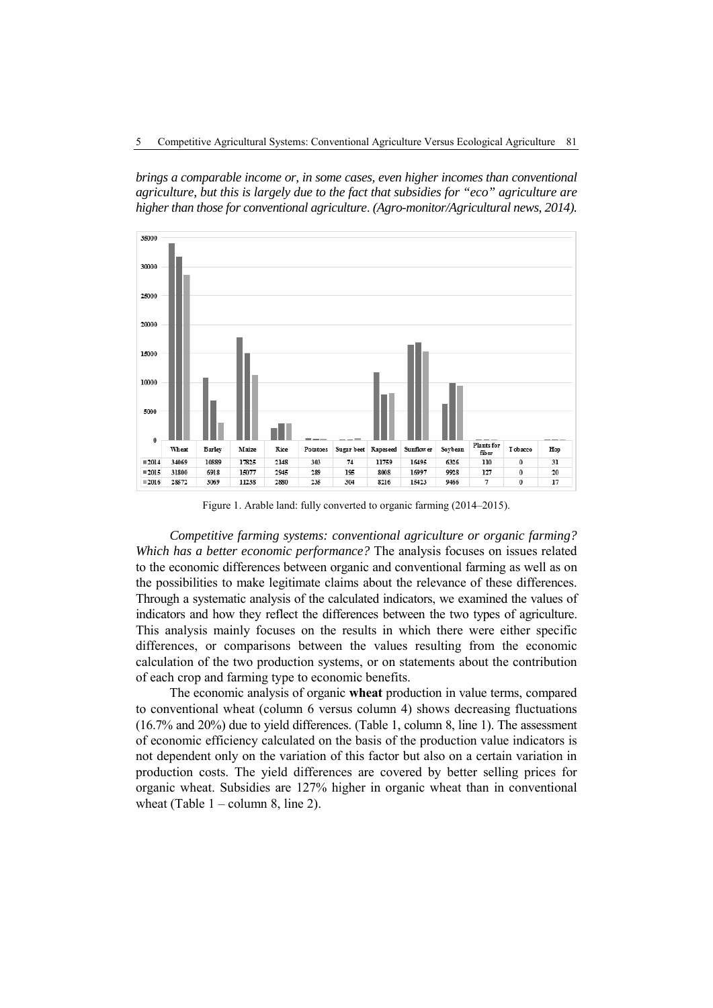*brings a comparable income or, in some cases, even higher incomes than conventional agriculture, but this is largely due to the fact that subsidies for "eco" agriculture are higher than those for conventional agriculture*. *(Agro-monitor/Agricultural news, 2014).*



Figure 1. Arable land: fully converted to organic farming (2014–2015).

*Competitive farming systems: conventional agriculture or organic farming? Which has a better economic performance?* The analysis focuses on issues related to the economic differences between organic and conventional farming as well as on the possibilities to make legitimate claims about the relevance of these differences. Through a systematic analysis of the calculated indicators, we examined the values of indicators and how they reflect the differences between the two types of agriculture. This analysis mainly focuses on the results in which there were either specific differences, or comparisons between the values resulting from the economic calculation of the two production systems, or on statements about the contribution of each crop and farming type to economic benefits.

The economic analysis of organic **wheat** production in value terms, compared to conventional wheat (column 6 versus column 4) shows decreasing fluctuations (16.7% and 20%) due to yield differences. (Table 1, column 8, line 1). The assessment of economic efficiency calculated on the basis of the production value indicators is not dependent only on the variation of this factor but also on a certain variation in production costs. The yield differences are covered by better selling prices for organic wheat. Subsidies are 127% higher in organic wheat than in conventional wheat (Table  $1$  – column 8, line 2).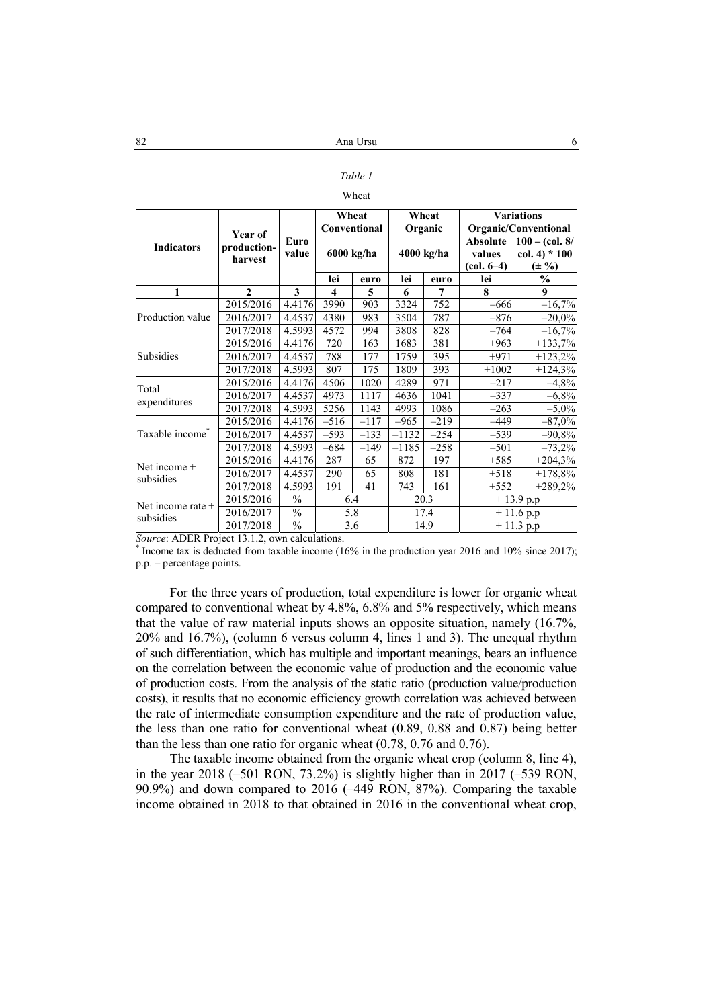# *Table 1*

#### Wheat

|                                |              |               | Wheat            |        | Wheat      |        | <b>Variations</b> |                         |  |
|--------------------------------|--------------|---------------|------------------|--------|------------|--------|-------------------|-------------------------|--|
|                                | Year of      |               | Conventional     |        | Organic    |        |                   | Organic/Conventional    |  |
| <b>Indicators</b>              | production-  | Euro          |                  |        | 4000 kg/ha |        | Absolute          | $100 - (col. 8/$        |  |
|                                | harvest      | value         | 6000 kg/ha       |        |            |        | values            | $col. 4$ * 100          |  |
|                                |              |               |                  |        |            |        | $(col. 6-4)$      | $(\pm 9)$               |  |
|                                |              |               | lei              | euro   | lei        | euro   | lei               | $\frac{0}{0}$           |  |
| 1                              | $\mathbf{2}$ | 3             | $\boldsymbol{4}$ | 5      | 6          | 7      | 8                 | 9                       |  |
|                                | 2015/2016    | 4.4176        | 3990             | 903    | 3324       | 752    | $-666$            | $-16,7%$                |  |
| Production value               | 2016/2017    | 4.4537        | 4380             | 983    | 3504       | 787    | $-876$            | $-20,0%$                |  |
|                                | 2017/2018    | 4.5993        | 4572             | 994    | 3808       | 828    | $-764$            | $-16,7%$                |  |
|                                | 2015/2016    | 4.4176        | 720              | 163    | 1683       | 381    | $+963$            | $+133,7%$               |  |
| Subsidies                      | 2016/2017    | 4.4537        | 788              | 177    | 1759       | 395    | $+971$            | $+123,2%$               |  |
|                                | 2017/2018    | 4.5993        | 807              | 175    | 1809       | 393    | $+1002$           | $+124,3%$               |  |
| Total                          | 2015/2016    | 4.4176        | 4506             | 1020   | 4289       | 971    | $-217$            | $-4,8%$                 |  |
|                                | 2016/2017    | 4.4537        | 4973             | 1117   | 4636       | 1041   | $-337$            | $-6,8%$                 |  |
| expenditures                   | 2017/2018    | 4.5993        | 5256             | 1143   | 4993       | 1086   | $-263$            | $-5,0\%$                |  |
|                                | 2015/2016    | 4.4176        | $-516$           | $-117$ | $-965$     | $-219$ | $-449$            | $-87,0%$                |  |
| Taxable income <sup>®</sup>    | 2016/2017    | 4.4537        | $-593$           | $-133$ | $-1132$    | $-254$ | $-539$            | $-90,8%$                |  |
|                                | 2017/2018    | 4.5993        | $-684$           | $-149$ | $-1185$    | $-258$ | $-501$            | $-73,2%$                |  |
| Net income $+$<br>subsidies    | 2015/2016    | 4.4176        | 287              | 65     | 872        | 197    | $+585$            | $+204,3%$               |  |
|                                | 2016/2017    | 4.4537        | 290              | 65     | 808        | 181    | $+518$            | $+178,8%$               |  |
|                                | 2017/2018    | 4.5993        | 191              | 41     | 743        | 161    | $+552$            | $+289,2%$               |  |
|                                | 2015/2016    | $\frac{0}{0}$ | 6.4              |        | 20.3       |        | $+13.9$ p.p       |                         |  |
| Net income rate +<br>subsidies | 2016/2017    | $\frac{0}{0}$ | 5.8              |        |            | 17.4   |                   | $+11.6$ p.p             |  |
|                                | 2017/2018    | $\%$          | 3.6              |        |            | 14.9   |                   | $\overline{+}$ 11.3 p.p |  |

*Source*: ADER Project 13.1.2, own calculations. \*

 Income tax is deducted from taxable income (16% in the production year 2016 and 10% since 2017); p.p. – percentage points.

For the three years of production, total expenditure is lower for organic wheat compared to conventional wheat by 4.8%, 6.8% and 5% respectively, which means that the value of raw material inputs shows an opposite situation, namely (16.7%, 20% and 16.7%), (column 6 versus column 4, lines 1 and 3). The unequal rhythm of such differentiation, which has multiple and important meanings, bears an influence on the correlation between the economic value of production and the economic value of production costs. From the analysis of the static ratio (production value/production costs), it results that no economic efficiency growth correlation was achieved between the rate of intermediate consumption expenditure and the rate of production value, the less than one ratio for conventional wheat (0.89, 0.88 and 0.87) being better than the less than one ratio for organic wheat (0.78, 0.76 and 0.76).

The taxable income obtained from the organic wheat crop (column 8, line 4), in the year 2018 (–501 RON, 73.2%) is slightly higher than in 2017 (–539 RON, 90.9%) and down compared to 2016 (–449 RON, 87%). Comparing the taxable income obtained in 2018 to that obtained in 2016 in the conventional wheat crop,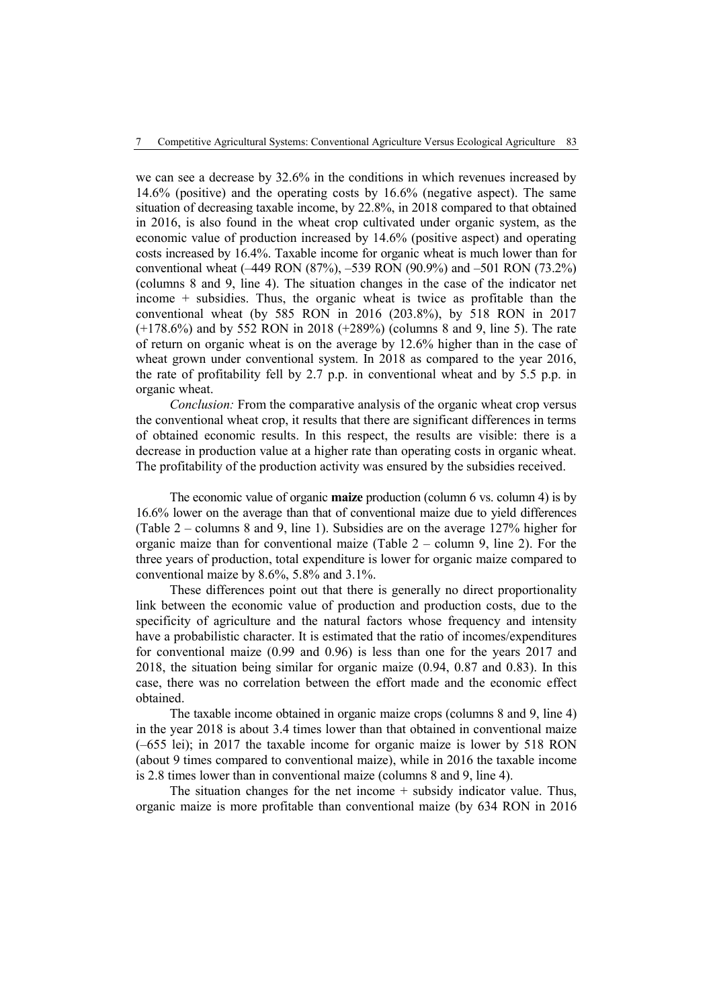we can see a decrease by 32.6% in the conditions in which revenues increased by 14.6% (positive) and the operating costs by 16.6% (negative aspect). The same situation of decreasing taxable income, by 22.8%, in 2018 compared to that obtained in 2016, is also found in the wheat crop cultivated under organic system, as the economic value of production increased by 14.6% (positive aspect) and operating costs increased by 16.4%. Taxable income for organic wheat is much lower than for conventional wheat (–449 RON (87%), –539 RON (90.9%) and –501 RON (73.2%) (columns 8 and 9, line 4). The situation changes in the case of the indicator net income + subsidies. Thus, the organic wheat is twice as profitable than the conventional wheat (by 585 RON in 2016 (203.8%), by 518 RON in 2017 (+178.6%) and by 552 RON in 2018 (+289%) (columns 8 and 9, line 5). The rate of return on organic wheat is on the average by 12.6% higher than in the case of wheat grown under conventional system. In 2018 as compared to the year 2016, the rate of profitability fell by 2.7 p.p. in conventional wheat and by 5.5 p.p. in organic wheat.

*Conclusion:* From the comparative analysis of the organic wheat crop versus the conventional wheat crop, it results that there are significant differences in terms of obtained economic results. In this respect, the results are visible: there is a decrease in production value at a higher rate than operating costs in organic wheat. The profitability of the production activity was ensured by the subsidies received.

The economic value of organic **maize** production (column 6 vs. column 4) is by 16.6% lower on the average than that of conventional maize due to yield differences (Table 2 – columns 8 and 9, line 1). Subsidies are on the average 127% higher for organic maize than for conventional maize (Table  $2 -$  column 9, line 2). For the three years of production, total expenditure is lower for organic maize compared to conventional maize by 8.6%, 5.8% and 3.1%.

These differences point out that there is generally no direct proportionality link between the economic value of production and production costs, due to the specificity of agriculture and the natural factors whose frequency and intensity have a probabilistic character. It is estimated that the ratio of incomes/expenditures for conventional maize (0.99 and 0.96) is less than one for the years 2017 and 2018, the situation being similar for organic maize (0.94, 0.87 and 0.83). In this case, there was no correlation between the effort made and the economic effect obtained.

The taxable income obtained in organic maize crops (columns 8 and 9, line 4) in the year 2018 is about 3.4 times lower than that obtained in conventional maize (–655 lei); in 2017 the taxable income for organic maize is lower by 518 RON (about 9 times compared to conventional maize), while in 2016 the taxable income is 2.8 times lower than in conventional maize (columns 8 and 9, line 4).

The situation changes for the net income  $+$  subsidy indicator value. Thus, organic maize is more profitable than conventional maize (by 634 RON in 2016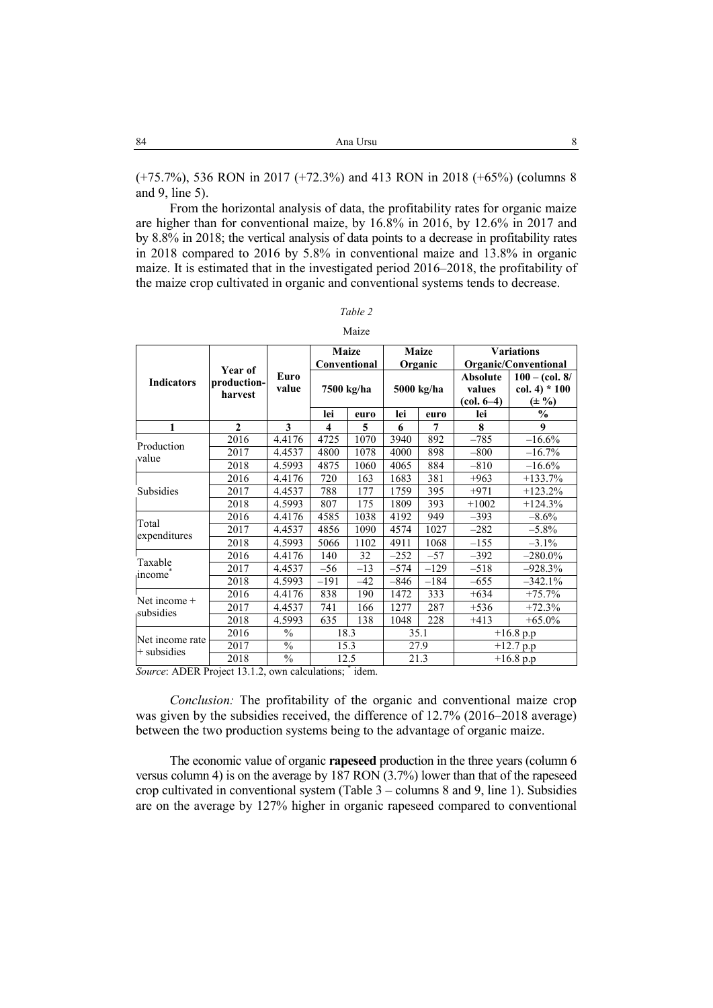(+75.7%), 536 RON in 2017 (+72.3%) and 413 RON in 2018 (+65%) (columns 8 and 9, line 5).

From the horizontal analysis of data, the profitability rates for organic maize are higher than for conventional maize, by 16.8% in 2016, by 12.6% in 2017 and by 8.8% in 2018; the vertical analysis of data points to a decrease in profitability rates in 2018 compared to 2016 by 5.8% in conventional maize and 13.8% in organic maize. It is estimated that in the investigated period 2016–2018, the profitability of the maize crop cultivated in organic and conventional systems tends to decrease.

| anı |  |
|-----|--|

| ıаl.<br>۰ |  |
|-----------|--|
|           |  |

| <b>Indicators</b>                | Year of<br>production-<br>harvest | Euro<br>value       |                            |       |                       |        |                                           | Organic/Conventional                          |
|----------------------------------|-----------------------------------|---------------------|----------------------------|-------|-----------------------|--------|-------------------------------------------|-----------------------------------------------|
|                                  |                                   |                     | Conventional<br>7500 kg/ha |       | Organic<br>5000 kg/ha |        | <b>Absolute</b><br>values<br>$(col. 6-4)$ | $100 - (col. 8/$<br>$col. 4*100$<br>$(\pm 9)$ |
|                                  |                                   |                     | lei                        | euro  | lei                   | euro   | lei                                       | $\frac{6}{6}$                                 |
| $\mathbf{1}$                     | $\mathbf{2}$                      | 3                   | 4                          | 5     | 6                     | 7      | 8                                         | 9                                             |
| Production                       | 2016                              | $\overline{4.4176}$ | 4725                       | 1070  | 3940                  | 892    | $-785$                                    | $-16.6%$                                      |
| value                            | 2017                              | 4.4537              | 4800                       | 1078  | 4000                  | 898    | $-800$                                    | $-16.7%$                                      |
|                                  | 2018                              | 4.5993              | 4875                       | 1060  | 4065                  | 884    | $-810$                                    | $-16.6%$                                      |
|                                  | 2016                              | 4.4176              | 720                        | 163   | 1683                  | 381    | $+963$                                    | $+133.7%$                                     |
| Subsidies                        | 2017                              | 4.4537              | 788                        | 177   | 1759                  | 395    | $+971$                                    | $+123.2%$                                     |
|                                  | 2018                              | 4.5993              | 807                        | 175   | 1809                  | 393    | $+1002$                                   | $+124.3%$                                     |
| Total                            | 2016                              | 4.4176              | 4585                       | 1038  | 4192                  | 949    | $-393$                                    | $-8.6%$                                       |
| expenditures                     | 2017                              | 4.4537              | 4856                       | 1090  | 4574                  | 1027   | $-282$                                    | $-5.8\%$                                      |
|                                  | 2018                              | 4.5993              | 5066                       | 1102  | 4911                  | 1068   | $-155$                                    | $-3.1\%$                                      |
|                                  | 2016                              | 4.4176              | 140                        | 32    | $-252$                | $-57$  | $-392$                                    | $-280.0\%$                                    |
| Taxable                          | 2017                              | 4.4537              | $-56$                      | $-13$ | $-574$                | $-129$ | $-518$                                    | $-928.3%$                                     |
| income                           | 2018                              | 4.5993              | $-191$                     | -42   | $-846$                | $-184$ | $-655$                                    | $-342.1%$                                     |
|                                  | 2016                              | 4.4176              | 838                        | 190   | 1472                  | 333    | $+634$                                    | $+75.7%$                                      |
| Net income +<br>subsidies        | 2017                              | 4.4537              | 741                        | 166   | 1277                  | 287    | $+536$                                    | $+72.3%$                                      |
|                                  | 2018                              | 4.5993              | 635                        | 138   | 1048                  | 228    | $+413$                                    | $+65.0\%$                                     |
|                                  | 2016                              | $\frac{0}{0}$       | 18.3                       |       | 35.1                  |        | $+16.8$ p.p                               |                                               |
| Net income rate<br>$+$ subsidies | 2017                              | $\frac{0}{0}$       | 15.3                       |       |                       | 27.9   |                                           | $+12.7 p.p$                                   |
|                                  | 2018                              | $\frac{0}{0}$       | 12.5                       |       | 21.3                  |        |                                           | $\overline{+16.8}$ p.p                        |

*Source*: ADER Project 13.1.2, own calculations; \* idem.

*Conclusion:* The profitability of the organic and conventional maize crop was given by the subsidies received, the difference of 12.7% (2016–2018 average) between the two production systems being to the advantage of organic maize.

The economic value of organic **rapeseed** production in the three years (column 6 versus column 4) is on the average by 187 RON (3.7%) lower than that of the rapeseed crop cultivated in conventional system (Table 3 – columns 8 and 9, line 1). Subsidies are on the average by 127% higher in organic rapeseed compared to conventional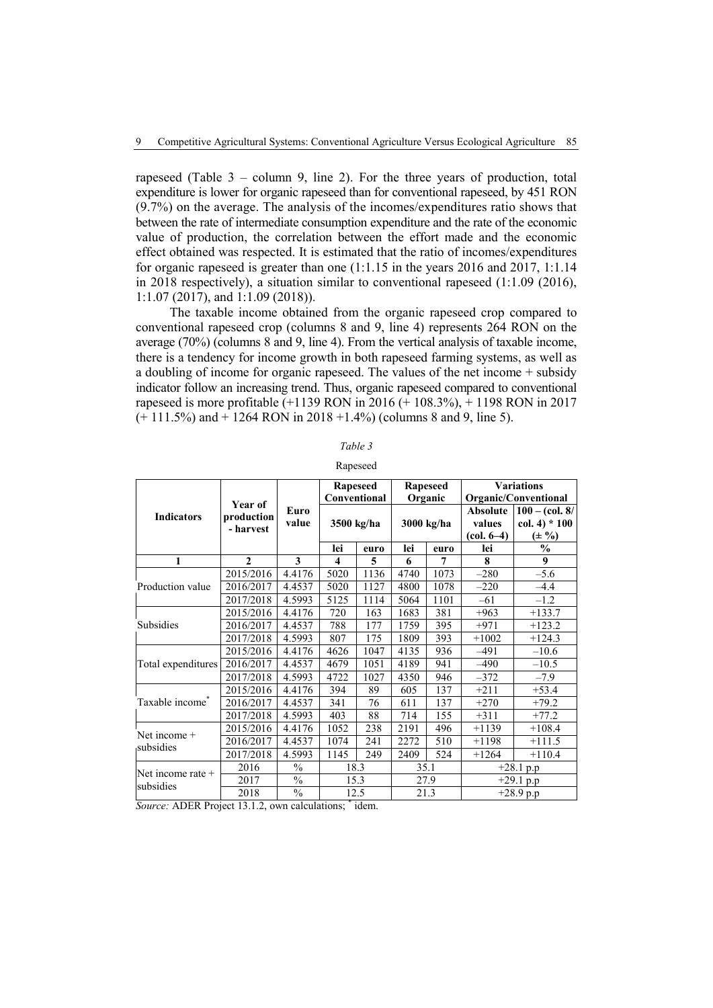rapeseed (Table 3 – column 9, line 2). For the three years of production, total expenditure is lower for organic rapeseed than for conventional rapeseed, by 451 RON (9.7%) on the average. The analysis of the incomes/expenditures ratio shows that between the rate of intermediate consumption expenditure and the rate of the economic value of production, the correlation between the effort made and the economic effect obtained was respected. It is estimated that the ratio of incomes/expenditures for organic rapeseed is greater than one (1:1.15 in the years 2016 and 2017, 1:1.14 in 2018 respectively), a situation similar to conventional rapeseed (1:1.09 (2016), 1:1.07 (2017), and 1:1.09 (2018)).

The taxable income obtained from the organic rapeseed crop compared to conventional rapeseed crop (columns 8 and 9, line 4) represents 264 RON on the average (70%) (columns 8 and 9, line 4). From the vertical analysis of taxable income, there is a tendency for income growth in both rapeseed farming systems, as well as a doubling of income for organic rapeseed. The values of the net income + subsidy indicator follow an increasing trend. Thus, organic rapeseed compared to conventional rapeseed is more profitable (+1139 RON in 2016 (+ 108.3%), + 1198 RON in 2017  $(+ 111.5\%)$  and  $+ 1264$  RON in 2018  $+1.4\%$ ) (columns 8 and 9, line 5).

| able |
|------|
|------|

| <b>Ranesee</b> |
|----------------|
|----------------|

|                             |                                    |               |                         | Rapeseed<br>Conventional |            | Rapeseed<br>Organic | <b>Variations</b><br>Organic/Conventional |                                                   |
|-----------------------------|------------------------------------|---------------|-------------------------|--------------------------|------------|---------------------|-------------------------------------------|---------------------------------------------------|
| <b>Indicators</b>           | Year of<br>production<br>- harvest | Euro<br>value | 3500 kg/ha              |                          | 3000 kg/ha |                     | <b>Absolute</b><br>values<br>$(col. 6-4)$ | $100 - (col. 8/$<br>$col. 4$ * 100<br>$(\pm 9/0)$ |
|                             |                                    |               | lei                     | euro                     | lei        | euro                | lei                                       | $\frac{0}{0}$                                     |
| 1                           | $\mathcal{L}$                      | 3             | $\overline{\mathbf{4}}$ | 5                        | 6          | 7                   | 8                                         | 9                                                 |
|                             | 2015/2016                          | 4.4176        | 5020                    | 1136                     | 4740       | 1073                | $-280$                                    | $-5.6$                                            |
| Production value            | 2016/2017                          | 4.4537        | 5020                    | 1127                     | 4800       | 1078                | $-220$                                    | $-4.4$                                            |
|                             | 2017/2018                          | 4.5993        | 5125                    | 1114                     | 5064       | 1101                | $-61$                                     | $-1.2$                                            |
|                             | 2015/2016                          | 4.4176        | 720                     | 163                      | 1683       | 381                 | $+963$                                    | $+133.7$                                          |
| Subsidies                   | 2016/2017                          | 4.4537        | 788                     | 177                      | 1759       | 395                 | $+971$                                    | $+123.2$                                          |
|                             | 2017/2018                          | 4.5993        | 807                     | 175                      | 1809       | 393                 | $+1002$                                   | $+124.3$                                          |
|                             | 2015/2016                          | 4.4176        | 4626                    | 1047                     | 4135       | 936                 | -491                                      | $-10.6$                                           |
| Total expenditures          | 2016/2017                          | 4.4537        | 4679                    | 1051                     | 4189       | 941                 | $-490$                                    | $-10.5$                                           |
|                             | 2017/2018                          | 4.5993        | 4722                    | 1027                     | 4350       | 946                 | $-372$                                    | $-7.9$                                            |
|                             | 2015/2016                          | 4.4176        | 394                     | 89                       | 605        | 137                 | $+211$                                    | $+53.4$                                           |
| Taxable income <sup>*</sup> | 2016/2017                          | 4.4537        | 341                     | 76                       | 611        | 137                 | $+270$                                    | $+79.2$                                           |
|                             | 2017/2018                          | 4.5993        | 403                     | 88                       | 714        | 155                 | $+311$                                    | $+77.2$                                           |
| Net income +<br>subsidies   | 2015/2016                          | 4.4176        | 1052                    | 238                      | 2191       | 496                 | $+1139$                                   | $+108.4$                                          |
|                             | 2016/2017                          | 4.4537        | 1074                    | 241                      | 2272       | 510                 | $+1198$                                   | $+111.5$                                          |
|                             | 2017/2018                          | 4.5993        | 1145                    | 249                      | 2409       | 524                 | $+1264$                                   | $+110.4$                                          |
| Net income rate $+$         | 2016                               | $\frac{0}{0}$ | 18.3                    |                          | 35.1       |                     | $+28.1$<br>p.p                            |                                                   |
| subsidies                   | 2017                               | $\frac{0}{0}$ | 15.3                    |                          | 27.9       |                     | $+29.1$ p.p                               |                                                   |
|                             | 2018                               | $\frac{0}{0}$ | 12.5                    |                          | 21.3       |                     | $+28.9$ p.p                               |                                                   |

*Source:* ADER Project 13.1.2, own calculations; \* idem.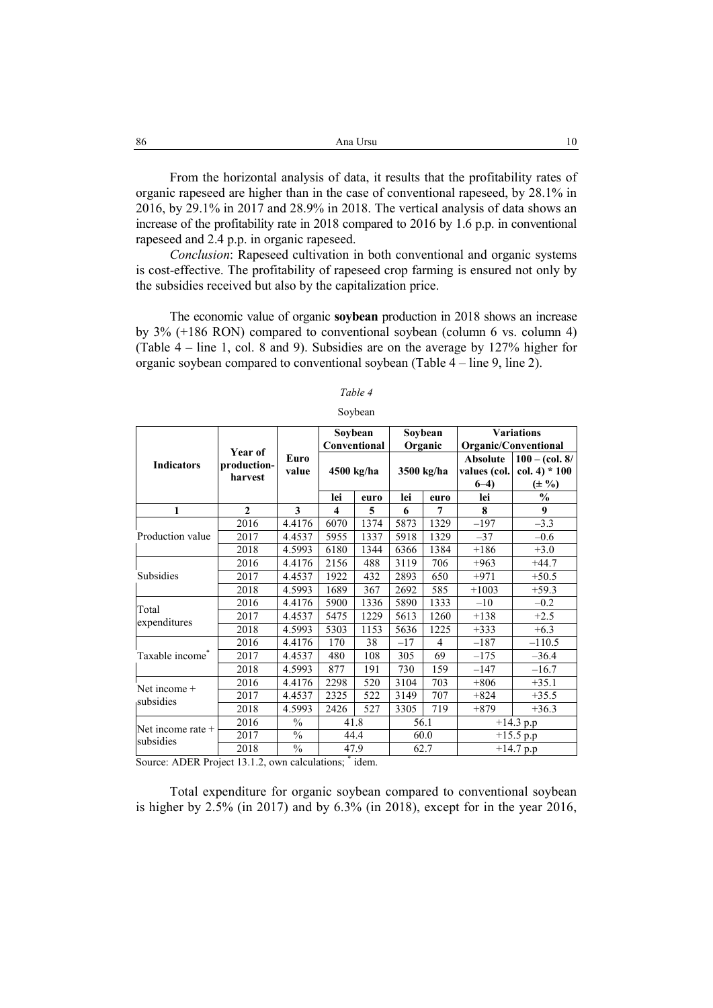| -86 | Ana Ursu<br>10                                                                          |
|-----|-----------------------------------------------------------------------------------------|
|     |                                                                                         |
|     | From the horizontal analysis of data, it results that the profitability rates of        |
|     | organic rapeseed are higher than in the case of conventional rapeseed, by 28.1% in      |
|     | 2016, by 29.1% in 2017 and 28.9% in 2018. The vertical analysis of data shows an        |
|     | increase of the profitability rate in 2018 compared to 2016 by 1.6 p.p. in conventional |

*Conclusion*: Rapeseed cultivation in both conventional and organic systems is cost-effective. The profitability of rapeseed crop farming is ensured not only by the subsidies received but also by the capitalization price.

rapeseed and 2.4 p.p. in organic rapeseed.

The economic value of organic **soybean** production in 2018 shows an increase by 3% (+186 RON) compared to conventional soybean (column 6 vs. column 4) (Table 4 – line 1, col. 8 and 9). Subsidies are on the average by 127% higher for organic soybean compared to conventional soybean (Table 4 – line 9, line 2).

|                             |                |               | Soybean |              | Soybean    |                | <b>Variations</b>    |                        |
|-----------------------------|----------------|---------------|---------|--------------|------------|----------------|----------------------|------------------------|
|                             | <b>Year of</b> |               |         | Conventional |            | Organic        | Organic/Conventional |                        |
| <b>Indicators</b>           | production-    | Euro          |         |              | 3500 kg/ha |                | <b>Absolute</b>      | $100 - (col. 8/$       |
|                             | harvest        | value         |         | 4500 kg/ha   |            |                | values (col.         | $col. 4$ * 100         |
|                             |                |               |         |              |            |                | $6-4$                | $(\pm 9)$              |
|                             |                |               | lei     | euro         | lei        | euro           | lei                  | $\frac{0}{0}$          |
| 1                           | $\mathbf{2}$   | 3             | 4       | 5            | 6          | 7              | 8                    | 9                      |
|                             | 2016           | 4.4176        | 6070    | 1374         | 5873       | 1329           | $-197$               | $-3.3$                 |
| Production value            | 2017           | 4.4537        | 5955    | 1337         | 5918       | 1329           | $-37$                | $-0.6$                 |
|                             | 2018           | 4.5993        | 6180    | 1344         | 6366       | 1384           | $+186$               | $+3.0$                 |
| Subsidies                   | 2016           | 4.4176        | 2156    | 488          | 3119       | 706            | $+963$               | $+44.7$                |
|                             | 2017           | 4.4537        | 1922    | 432          | 2893       | 650            | $+971$               | $+50.5$                |
|                             | 2018           | 4.5993        | 1689    | 367          | 2692       | 585            | $+1003$              | $+59.3$                |
|                             | 2016           | 4.4176        | 5900    | 1336         | 5890       | 1333           | $-10$                | $-0.2$                 |
| Total<br>expenditures       | 2017           | 4.4537        | 5475    | 1229         | 5613       | 1260           | $+138$               | $+2.5$                 |
|                             | 2018           | 4.5993        | 5303    | 1153         | 5636       | 1225           | $+333$               | $+6.3$                 |
|                             | 2016           | 4.4176        | 170     | 38           | $-17$      | $\overline{4}$ | $-187$               | $-110.5$               |
| Taxable income <sup>*</sup> | 2017           | 4.4537        | 480     | 108          | 305        | 69             | $-175$               | $-36.4$                |
|                             | 2018           | 4.5993        | 877     | 191          | 730        | 159            | $-147$               | $-16.7$                |
| Net income +<br>subsidies   | 2016           | 4.4176        | 2298    | 520          | 3104       | 703            | $+806$               | $+35.1$                |
|                             | 2017           | 4.4537        | 2325    | 522          | 3149       | 707            | $+824$               | $+35.5$                |
|                             | 2018           | 4.5993        | 2426    | 527          | 3305       | 719            | $+879$               | $+36.3$                |
| Net income rate +           | 2016           | $\frac{0}{0}$ |         | 41.8         | 56.1       |                | $+14.3$ p.p          |                        |
| subsidies                   | 2017           | $\%$          |         | 44.4         | 60.0       |                | $+15.5$ p.p          |                        |
|                             | 2018           | $\frac{0}{0}$ | 47.9    |              | 62.7       |                |                      | $\overline{+}14.7$ p.p |

#### *Table 4*

#### Soybean

Source: ADER Project 13.1.2, own calculations; \* idem.

Total expenditure for organic soybean compared to conventional soybean is higher by 2.5% (in 2017) and by 6.3% (in 2018), except for in the year 2016,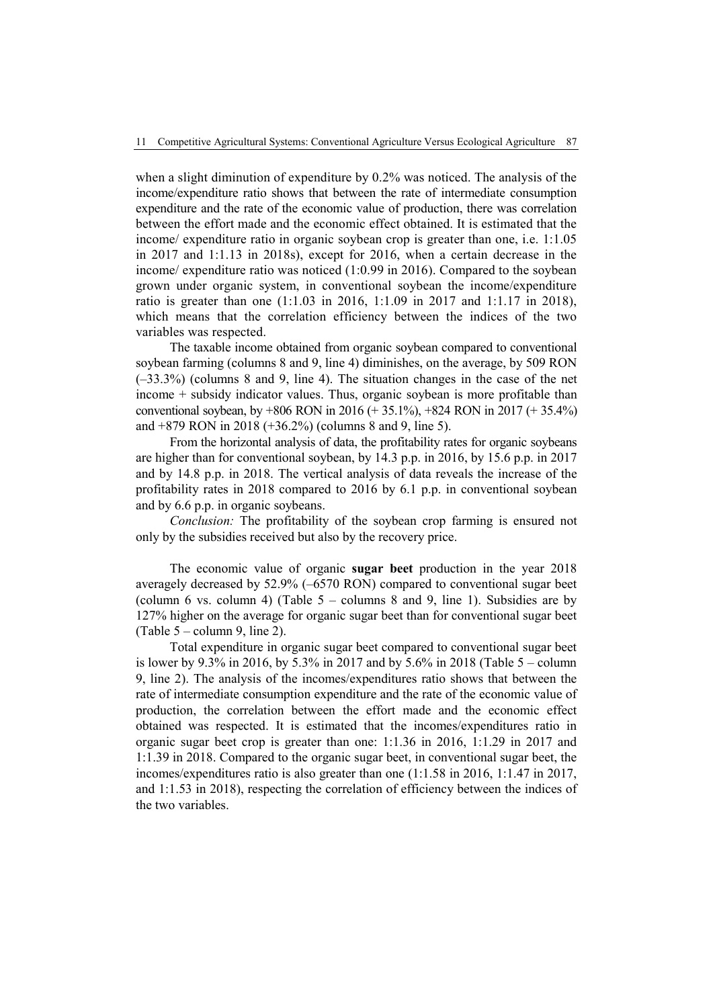when a slight diminution of expenditure by 0.2% was noticed. The analysis of the income/expenditure ratio shows that between the rate of intermediate consumption expenditure and the rate of the economic value of production, there was correlation between the effort made and the economic effect obtained. It is estimated that the income/ expenditure ratio in organic soybean crop is greater than one, i.e. 1:1.05 in 2017 and 1:1.13 in 2018s), except for 2016, when a certain decrease in the income/ expenditure ratio was noticed (1:0.99 in 2016). Compared to the soybean grown under organic system, in conventional soybean the income/expenditure ratio is greater than one (1:1.03 in 2016, 1:1.09 in 2017 and 1:1.17 in 2018), which means that the correlation efficiency between the indices of the two variables was respected.

The taxable income obtained from organic soybean compared to conventional soybean farming (columns 8 and 9, line 4) diminishes, on the average, by 509 RON (–33.3%) (columns 8 and 9, line 4). The situation changes in the case of the net income + subsidy indicator values. Thus, organic soybean is more profitable than conventional soybean, by +806 RON in 2016 (+ 35.1%), +824 RON in 2017 (+ 35.4%) and +879 RON in 2018 (+36.2%) (columns 8 and 9, line 5).

From the horizontal analysis of data, the profitability rates for organic soybeans are higher than for conventional soybean, by 14.3 p.p. in 2016, by 15.6 p.p. in 2017 and by 14.8 p.p. in 2018. The vertical analysis of data reveals the increase of the profitability rates in 2018 compared to 2016 by 6.1 p.p. in conventional soybean and by 6.6 p.p. in organic soybeans.

*Conclusion:* The profitability of the soybean crop farming is ensured not only by the subsidies received but also by the recovery price.

The economic value of organic **sugar beet** production in the year 2018 averagely decreased by 52.9% (–6570 RON) compared to conventional sugar beet (column 6 vs. column 4) (Table  $5$  – columns 8 and 9, line 1). Subsidies are by 127% higher on the average for organic sugar beet than for conventional sugar beet (Table  $5$  – column 9, line 2).

Total expenditure in organic sugar beet compared to conventional sugar beet is lower by 9.3% in 2016, by 5.3% in 2017 and by 5.6% in 2018 (Table 5 – column 9, line 2). The analysis of the incomes/expenditures ratio shows that between the rate of intermediate consumption expenditure and the rate of the economic value of production, the correlation between the effort made and the economic effect obtained was respected. It is estimated that the incomes/expenditures ratio in organic sugar beet crop is greater than one: 1:1.36 in 2016, 1:1.29 in 2017 and 1:1.39 in 2018. Compared to the organic sugar beet, in conventional sugar beet, the incomes/expenditures ratio is also greater than one (1:1.58 in 2016, 1:1.47 in 2017, and 1:1.53 in 2018), respecting the correlation of efficiency between the indices of the two variables.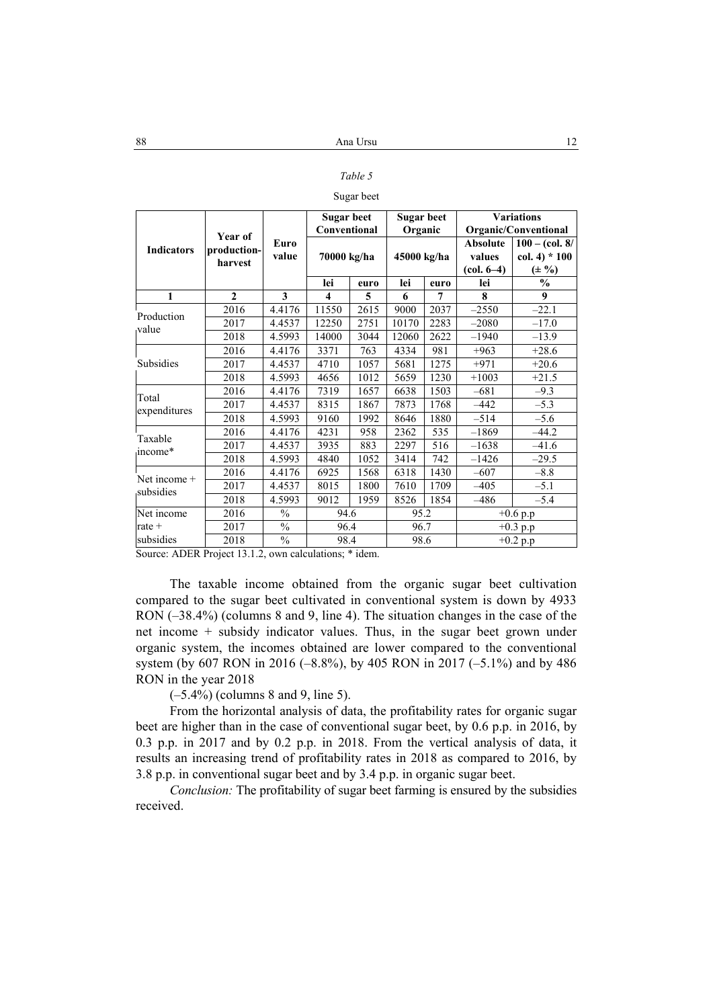## *Table 5*

#### Sugar beet

|                   |              |               | <b>Sugar beet</b>       |      | Sugar beet  |      | <b>Variations</b>    |                  |
|-------------------|--------------|---------------|-------------------------|------|-------------|------|----------------------|------------------|
|                   | Year of      |               | Conventional            |      | Organic     |      | Organic/Conventional |                  |
| <b>Indicators</b> | production-  | Euro          |                         |      |             |      | <b>Absolute</b>      | $100 - (col. 8/$ |
|                   | harvest      | value         | 70000 kg/ha             |      | 45000 kg/ha |      | values               | $col. 4$ * 100   |
|                   |              |               |                         |      |             |      | (col. 6–4)           | $(\pm 9/)$       |
|                   |              |               | lei                     | euro | lei         | euro | lei                  | $\frac{0}{0}$    |
| 1                 | $\mathbf{2}$ | 3             | $\overline{\mathbf{4}}$ | 5    | 6           | 7    | 8                    | 9                |
| Production        | 2016         | 4.4176        | 11550                   | 2615 | 9000        | 2037 | $-2550$              | $-22.1$          |
| value             | 2017         | 4.4537        | 12250                   | 2751 | 10170       | 2283 | $-2080$              | $-17.0$          |
|                   | 2018         | 4.5993        | 14000                   | 3044 | 12060       | 2622 | $-1940$              | $-13.9$          |
|                   | 2016         | 4.4176        | 3371                    | 763  | 4334        | 981  | $+963$               | $+28.6$          |
| Subsidies         | 2017         | 4.4537        | 4710                    | 1057 | 5681        | 1275 | $+971$               | $+20.6$          |
|                   | 2018         | 4.5993        | 4656                    | 1012 | 5659        | 1230 | $+1003$              | $+21.5$          |
|                   | 2016         | 4.4176        | 7319                    | 1657 | 6638        | 1503 | $-681$               | $-9.3$           |
| Total             | 2017         | 4.4537        | 8315                    | 1867 | 7873        | 1768 | $-442$               | $-5.3$           |
| expenditures      | 2018         | 4.5993        | 9160                    | 1992 | 8646        | 1880 | $-514$               | $-5.6$           |
| Taxable           | 2016         | 4.4176        | 4231                    | 958  | 2362        | 535  | $-1869$              | $-44.2$          |
| income*           | 2017         | 4.4537        | 3935                    | 883  | 2297        | 516  | $-1638$              | $-41.6$          |
|                   | 2018         | 4.5993        | 4840                    | 1052 | 3414        | 742  | $-1426$              | $-29.5$          |
| Net income $+$    | 2016         | 4.4176        | 6925                    | 1568 | 6318        | 1430 | $-607$               | $-8.8$           |
| subsidies         | 2017         | 4.4537        | 8015                    | 1800 | 7610        | 1709 | $-405$               | $-5.1$           |
|                   | 2018         | 4.5993        | 9012                    | 1959 | 8526        | 1854 | $-486$               | $-5.4$           |
| Net income        | 2016         | $\frac{0}{0}$ | 94.6                    |      | 95.2        |      | $+0.6$ p.p           |                  |
| rate $+$          | 2017         | $\frac{0}{0}$ | 96.4                    |      | 96.7        |      |                      | $+0.3$ p.p       |
| subsidies         | 2018         | $\frac{0}{0}$ | 98.4                    |      | 98.6        |      |                      | $+0.2 p.p$       |

Source: ADER Project 13.1.2, own calculations; \* idem.

The taxable income obtained from the organic sugar beet cultivation compared to the sugar beet cultivated in conventional system is down by 4933 RON (-38.4%) (columns 8 and 9, line 4). The situation changes in the case of the net income + subsidy indicator values. Thus, in the sugar beet grown under organic system, the incomes obtained are lower compared to the conventional system (by 607 RON in 2016 (–8.8%), by 405 RON in 2017 (–5.1%) and by 486 RON in the year 2018

 $(-5.4\%)$  (columns 8 and 9, line 5).

From the horizontal analysis of data, the profitability rates for organic sugar beet are higher than in the case of conventional sugar beet, by 0.6 p.p. in 2016, by 0.3 p.p. in 2017 and by 0.2 p.p. in 2018. From the vertical analysis of data, it results an increasing trend of profitability rates in 2018 as compared to 2016, by 3.8 p.p. in conventional sugar beet and by 3.4 p.p. in organic sugar beet.

*Conclusion:* The profitability of sugar beet farming is ensured by the subsidies received.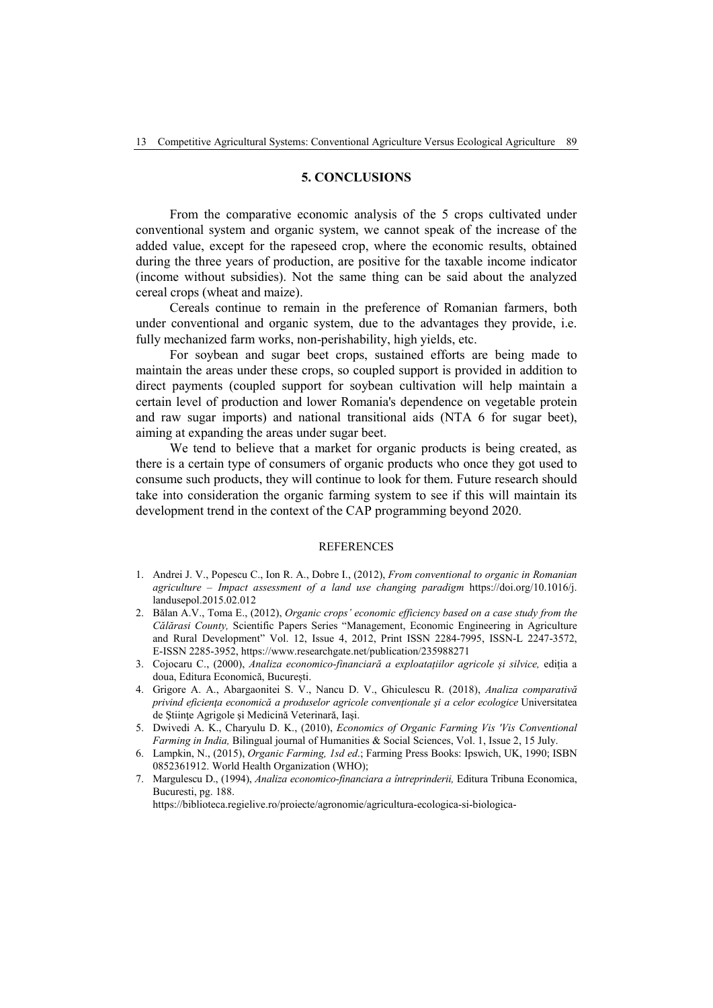## **5. CONCLUSIONS**

From the comparative economic analysis of the 5 crops cultivated under conventional system and organic system, we cannot speak of the increase of the added value, except for the rapeseed crop, where the economic results, obtained during the three years of production, are positive for the taxable income indicator (income without subsidies). Not the same thing can be said about the analyzed cereal crops (wheat and maize).

Cereals continue to remain in the preference of Romanian farmers, both under conventional and organic system, due to the advantages they provide, i.e. fully mechanized farm works, non-perishability, high yields, etc.

For soybean and sugar beet crops, sustained efforts are being made to maintain the areas under these crops, so coupled support is provided in addition to direct payments (coupled support for soybean cultivation will help maintain a certain level of production and lower Romania's dependence on vegetable protein and raw sugar imports) and national transitional aids (NTA 6 for sugar beet), aiming at expanding the areas under sugar beet.

We tend to believe that a market for organic products is being created, as there is a certain type of consumers of organic products who once they got used to consume such products, they will continue to look for them. Future research should take into consideration the organic farming system to see if this will maintain its development trend in the context of the CAP programming beyond 2020.

#### **REFERENCES**

- 1. Andrei J. V., Popescu C., Ion R. A., Dobre I., (2012), *From conventional to organic in Romanian agriculture – Impact assessment of a land use changing paradigm* https://doi.org/10.1016/j. landusepol.2015.02.012
- 2. Bălan A.V., Toma E., (2012), *Organic crops' economic efficiency based on a case study from the Călărasi County,* Scientific Papers Series "Management, Economic Engineering in Agriculture and Rural Development" Vol. 12, Issue 4, 2012, Print ISSN 2284-7995, ISSN-L 2247-3572, E-ISSN 2285-3952, https://www.researchgate.net/publication/235988271
- 3. Cojocaru C., (2000), *Analiza economico-financiară a exploatațiilor agricole și silvice,* ediția a doua, Editura Economică, București.
- 4. Grigore A. A., Abargaonitei S. V., Nancu D. V., Ghiculescu R. (2018), *Analiza comparativă privind eficienţa economică a produselor agricole convenţionale şi a celor ecologice* Universitatea de Ştiinţe Agrigole şi Medicină Veterinară, Iaşi.
- 5. Dwivedi A. K., Charyulu D. K., (2010), *Economics of Organic Farming Vis 'Vis Conventional Farming in India,* Bilingual journal of Humanities & Social Sciences, Vol. 1, Issue 2, 15 July.
- 6. Lampkin, N., (2015), *Organic Farming, 1sd ed*.; Farming Press Books: Ipswich, UK, 1990; ISBN 0852361912. World Health Organization (WHO);
- 7. Margulescu D., (1994), *Analiza economico-financiara a întreprinderii,* Editura Tribuna Economica, Bucuresti, pg. 188.

https://biblioteca.regielive.ro/proiecte/agronomie/agricultura-ecologica-si-biologica-